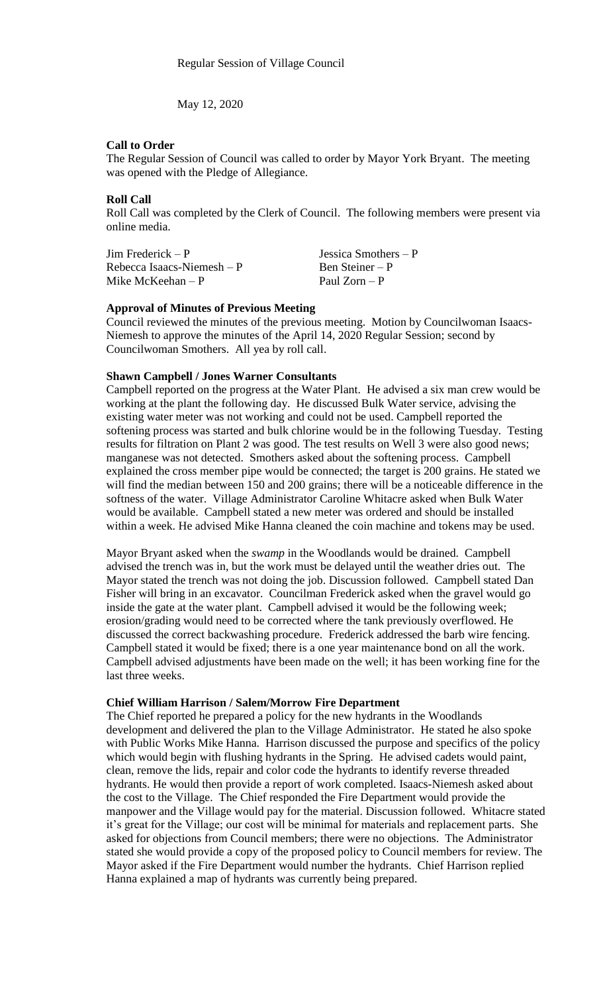May 12, 2020

### **Call to Order**

The Regular Session of Council was called to order by Mayor York Bryant. The meeting was opened with the Pledge of Allegiance.

### **Roll Call**

Roll Call was completed by the Clerk of Council. The following members were present via online media.

| $\text{Jim Frederick} - \text{P}$ | Jessica Smothers $-P$ |
|-----------------------------------|-----------------------|
| Rebecca Isaacs-Niemesh $-P$       | Ben Steiner – P       |
| Mike McKeehan $-P$                | Paul $Zorn - P$       |

#### **Approval of Minutes of Previous Meeting**

Council reviewed the minutes of the previous meeting. Motion by Councilwoman Isaacs-Niemesh to approve the minutes of the April 14, 2020 Regular Session; second by Councilwoman Smothers. All yea by roll call.

#### **Shawn Campbell / Jones Warner Consultants**

Campbell reported on the progress at the Water Plant. He advised a six man crew would be working at the plant the following day. He discussed Bulk Water service, advising the existing water meter was not working and could not be used. Campbell reported the softening process was started and bulk chlorine would be in the following Tuesday. Testing results for filtration on Plant 2 was good. The test results on Well 3 were also good news; manganese was not detected. Smothers asked about the softening process. Campbell explained the cross member pipe would be connected; the target is 200 grains. He stated we will find the median between 150 and 200 grains; there will be a noticeable difference in the softness of the water. Village Administrator Caroline Whitacre asked when Bulk Water would be available. Campbell stated a new meter was ordered and should be installed within a week. He advised Mike Hanna cleaned the coin machine and tokens may be used.

Mayor Bryant asked when the *swamp* in the Woodlands would be drained. Campbell advised the trench was in, but the work must be delayed until the weather dries out. The Mayor stated the trench was not doing the job. Discussion followed. Campbell stated Dan Fisher will bring in an excavator. Councilman Frederick asked when the gravel would go inside the gate at the water plant. Campbell advised it would be the following week; erosion/grading would need to be corrected where the tank previously overflowed. He discussed the correct backwashing procedure. Frederick addressed the barb wire fencing. Campbell stated it would be fixed; there is a one year maintenance bond on all the work. Campbell advised adjustments have been made on the well; it has been working fine for the last three weeks.

#### **Chief William Harrison / Salem/Morrow Fire Department**

The Chief reported he prepared a policy for the new hydrants in the Woodlands development and delivered the plan to the Village Administrator. He stated he also spoke with Public Works Mike Hanna. Harrison discussed the purpose and specifics of the policy which would begin with flushing hydrants in the Spring. He advised cadets would paint, clean, remove the lids, repair and color code the hydrants to identify reverse threaded hydrants. He would then provide a report of work completed. Isaacs-Niemesh asked about the cost to the Village. The Chief responded the Fire Department would provide the manpower and the Village would pay for the material. Discussion followed. Whitacre stated it's great for the Village; our cost will be minimal for materials and replacement parts. She asked for objections from Council members; there were no objections. The Administrator stated she would provide a copy of the proposed policy to Council members for review. The Mayor asked if the Fire Department would number the hydrants. Chief Harrison replied Hanna explained a map of hydrants was currently being prepared.